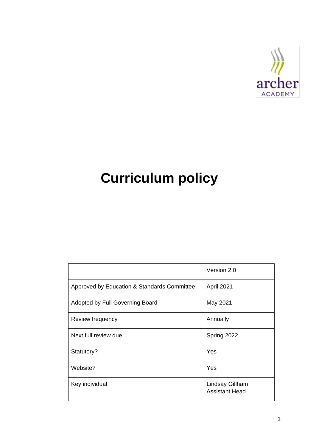

# **Curriculum policy**

|                                             | Version 2.0                              |
|---------------------------------------------|------------------------------------------|
| Approved by Education & Standards Committee | April 2021                               |
| Adopted by Full Governing Board             | May 2021                                 |
| Review frequency                            | Annually                                 |
| Next full review due                        | Spring 2022                              |
| Statutory?                                  | Yes                                      |
| Website?                                    | Yes                                      |
| Key individual                              | Lindsay Gillham<br><b>Assistant Head</b> |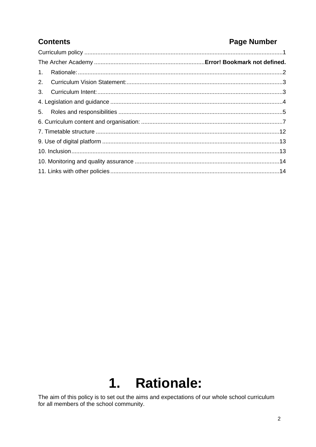### **Contents**

### **Page Number**

# 1. Rationale:

The aim of this policy is to set out the aims and expectations of our whole school curriculum for all members of the school community.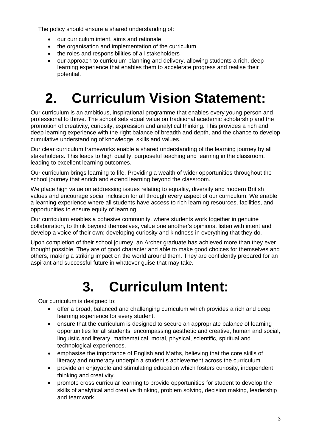The policy should ensure a shared understanding of:

- our curriculum intent, aims and rationale
- the organisation and implementation of the curriculum
- the roles and responsibilities of all stakeholders
- our approach to curriculum planning and delivery, allowing students a rich, deep learning experience that enables them to accelerate progress and realise their potential.

# **2. Curriculum Vision Statement:**

Our curriculum is an ambitious, inspirational programme that enables every young person and professional to thrive. The school sets equal value on traditional academic scholarship and the promotion of creativity, curiosity, expression and analytical thinking. This provides a rich and deep learning experience with the right balance of breadth and depth, and the chance to develop cumulative understanding of knowledge, skills and values.

Our clear curriculum frameworks enable a shared understanding of the learning journey by all stakeholders. This leads to high quality, purposeful teaching and learning in the classroom, leading to excellent learning outcomes.

Our curriculum brings learning to life. Providing a wealth of wider opportunities throughout the school journey that enrich and extend learning beyond the classroom.

We place high value on addressing issues relating to equality, diversity and modern British values and encourage social inclusion for all through every aspect of our curriculum. We enable a learning experience where all students have access to rich learning resources, facilities, and opportunities to ensure equity of learning.

Our curriculum enables a cohesive community, where students work together in genuine collaboration, to think beyond themselves, value one another's opinions, listen with intent and develop a voice of their own; developing curiosity and kindness in everything that they do.

Upon completion of their school journey, an Archer graduate has achieved more than they ever thought possible. They are of good character and able to make good choices for themselves and others, making a striking impact on the world around them. They are confidently prepared for an aspirant and successful future in whatever guise that may take.

# **3. Curriculum Intent:**

Our curriculum is designed to:

- offer a broad, balanced and challenging curriculum which provides a rich and deep learning experience for every student.
- ensure that the curriculum is designed to secure an appropriate balance of learning opportunities for all students, encompassing aesthetic and creative, human and social, linguistic and literary, mathematical, moral, physical, scientific, spiritual and technological experiences.
- emphasise the importance of English and Maths, believing that the core skills of literacy and numeracy underpin a student's achievement across the curriculum.
- provide an enjoyable and stimulating education which fosters curiosity, independent thinking and creativity.
- promote cross curricular learning to provide opportunities for student to develop the skills of analytical and creative thinking, problem solving, decision making, leadership and teamwork.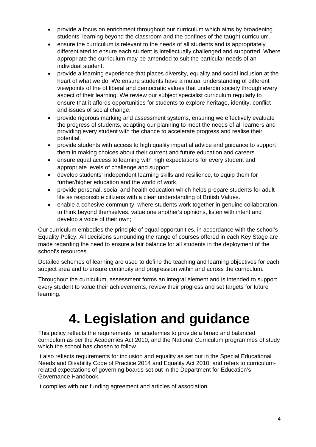- provide a focus on enrichment throughout our curriculum which aims by broadening students' learning beyond the classroom and the confines of the taught curriculum.
- ensure the curriculum is relevant to the needs of all students and is appropriately differentiated to ensure each student is intellectually challenged and supported. Where appropriate the curriculum may be amended to suit the particular needs of an individual student.
- provide a learning experience that places diversity, equality and social inclusion at the heart of what we do. We ensure students have a mutual understanding of different viewpoints of the of liberal and democratic values that underpin society through every aspect of their learning. We review our subject specialist curriculum regularly to ensure that it affords opportunities for students to explore heritage, identity, conflict and issues of social change.
- provide rigorous marking and assessment systems, ensuring we effectively evaluate the progress of students, adapting our planning to meet the needs of all learners and providing every student with the chance to accelerate progress and realise their potential.
- provide students with access to high quality impartial advice and guidance to support them in making choices about their current and future education and careers.
- ensure equal access to learning with high expectations for every student and appropriate levels of challenge and support
- develop students' independent learning skills and resilience, to equip them for further/higher education and the world of work,
- provide personal, social and health education which helps prepare students for adult life as responsible citizens with a clear understanding of British Values.
- enable a cohesive community, where students work together in genuine collaboration, to think beyond themselves, value one another's opinions, listen with intent and develop a voice of their own;

Our curriculum embodies the principle of equal opportunities, in accordance with the school's Equality Policy. All decisions surrounding the range of courses offered in each Key Stage are made regarding the need to ensure a fair balance for all students in the deployment of the school's resources.

Detailed schemes of learning are used to define the teaching and learning objectives for each subject area and to ensure continuity and progression within and across the curriculum.

Throughout the curriculum, assessment forms an integral element and is intended to support every student to value their achievements, review their progress and set targets for future learning.

# **4. Legislation and guidance**

This policy reflects the requirements for academies to provide a broad and balanced curriculum as per the [Academies Act](http://www.legislation.gov.uk/ukpga/2010/32/section/1A) 2010, and the [National Curriculum programmes of study](https://www.gov.uk/government/collections/national-curriculum) which the school has chosen to follow.

It also reflects requirements for inclusion and equality as set out in the [Special Educational](https://www.gov.uk/government/publications/send-code-of-practice-0-to-25)  [Needs and Disability Code of Practice 2014](https://www.gov.uk/government/publications/send-code-of-practice-0-to-25) and [Equality Act 2010,](http://www.legislation.gov.uk/ukpga/2010/15/part/6/chapter/1) and refers to curriculumrelated expectations of governing boards set out in the Department for Education's [Governance Handbook.](https://www.gov.uk/government/publications/governance-handbook)

It complies with our funding agreement and articles of association.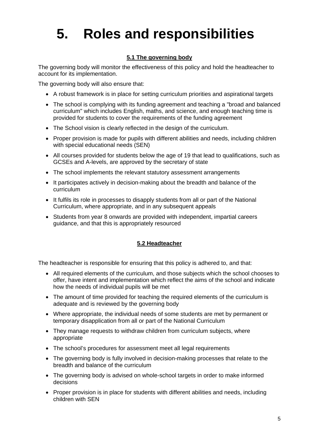# **5. Roles and responsibilities**

#### **5.1 The governing body**

The governing body will monitor the effectiveness of this policy and hold the headteacher to account for its implementation.

The governing body will also ensure that:

- A robust framework is in place for setting curriculum priorities and aspirational targets
- The school is complying with its funding agreement and teaching a "broad and balanced" curriculum" which includes English, maths, and science, and enough teaching time is provided for students to cover the requirements of the funding agreement
- The School vision is clearly reflected in the design of the curriculum.
- Proper provision is made for pupils with different abilities and needs, including children with special educational needs (SEN)
- All courses provided for students below the age of 19 that lead to qualifications, such as GCSEs and A-levels, are approved by the secretary of state
- The school implements the relevant statutory assessment arrangements
- It participates actively in decision-making about the breadth and balance of the curriculum
- It fulfils its role in processes to disapply students from all or part of the National Curriculum, where appropriate, and in any subsequent appeals
- Students from year 8 onwards are provided with independent, impartial careers guidance, and that this is appropriately resourced

#### **5.2 Headteacher**

The headteacher is responsible for ensuring that this policy is adhered to, and that:

- All required elements of the curriculum, and those subjects which the school chooses to offer, have intent and implementation which reflect the aims of the school and indicate how the needs of individual pupils will be met
- The amount of time provided for teaching the required elements of the curriculum is adequate and is reviewed by the governing body
- Where appropriate, the individual needs of some students are met by permanent or temporary disapplication from all or part of the National Curriculum
- They manage requests to withdraw children from curriculum subjects, where appropriate
- The school's procedures for assessment meet all legal requirements
- The governing body is fully involved in decision-making processes that relate to the breadth and balance of the curriculum
- The governing body is advised on whole-school targets in order to make informed decisions
- Proper provision is in place for students with different abilities and needs, including children with SEN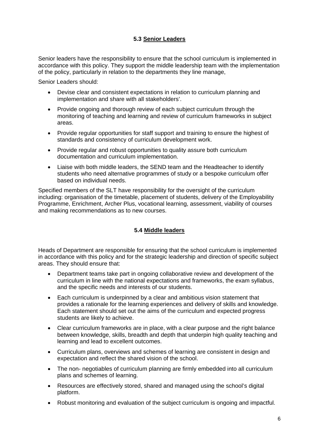#### **5.3 Senior Leaders**

Senior leaders have the responsibility to ensure that the school curriculum is implemented in accordance with this policy. They support the middle leadership team with the implementation of the policy, particularly in relation to the departments they line manage,

Senior Leaders should:

- Devise clear and consistent expectations in relation to curriculum planning and implementation and share with all stakeholders'.
- Provide ongoing and thorough review of each subject curriculum through the monitoring of teaching and learning and review of curriculum frameworks in subject areas.
- Provide regular opportunities for staff support and training to ensure the highest of standards and consistency of curriculum development work.
- Provide regular and robust opportunities to quality assure both curriculum documentation and curriculum implementation.
- Liaise with both middle leaders, the SEND team and the Headteacher to identify students who need alternative programmes of study or a bespoke curriculum offer based on individual needs.

Specified members of the SLT have responsibility for the oversight of the curriculum including: organisation of the timetable, placement of students, delivery of the Employability Programme, Enrichment, Archer Plus, vocational learning, assessment, viability of courses and making recommendations as to new courses.

#### **5.4 Middle leaders**

Heads of Department are responsible for ensuring that the school curriculum is implemented in accordance with this policy and for the strategic leadership and direction of specific subject areas. They should ensure that:

- Department teams take part in ongoing collaborative review and development of the curriculum in line with the national expectations and frameworks, the exam syllabus, and the specific needs and interests of our students.
- Each curriculum is underpinned by a clear and ambitious vision statement that provides a rationale for the learning experiences and delivery of skills and knowledge. Each statement should set out the aims of the curriculum and expected progress students are likely to achieve.
- Clear curriculum frameworks are in place, with a clear purpose and the right balance between knowledge, skills, breadth and depth that underpin high quality teaching and learning and lead to excellent outcomes.
- Curriculum plans, overviews and schemes of learning are consistent in design and expectation and reflect the shared vision of the school.
- The non- negotiables of curriculum planning are firmly embedded into all curriculum plans and schemes of learning.
- Resources are effectively stored, shared and managed using the school's digital platform.
- Robust monitoring and evaluation of the subject curriculum is ongoing and impactful.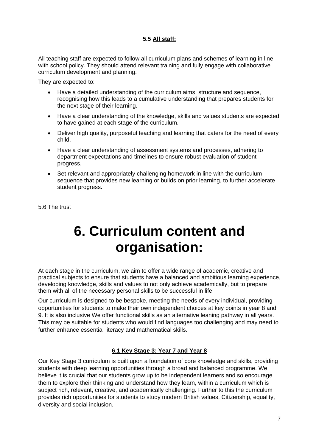#### **5.5 All staff:**

All teaching staff are expected to follow all curriculum plans and schemes of learning in line with school policy. They should attend relevant training and fully engage with collaborative curriculum development and planning.

They are expected to:

- Have a detailed understanding of the curriculum aims, structure and sequence, recognising how this leads to a cumulative understanding that prepares students for the next stage of their learning.
- Have a clear understanding of the knowledge, skills and values students are expected to have gained at each stage of the curriculum.
- Deliver high quality, purposeful teaching and learning that caters for the need of every child.
- Have a clear understanding of assessment systems and processes, adhering to department expectations and timelines to ensure robust evaluation of student progress.
- Set relevant and appropriately challenging homework in line with the curriculum sequence that provides new learning or builds on prior learning, to further accelerate student progress.

5.6 The trust

## **6. Curriculum content and organisation:**

At each stage in the curriculum, we aim to offer a wide range of academic, creative and practical subjects to ensure that students have a balanced and ambitious learning experience, developing knowledge, skills and values to not only achieve academically, but to prepare them with all of the necessary personal skills to be successful in life.

Our curriculum is designed to be bespoke, meeting the needs of every individual, providing opportunities for students to make their own independent choices at key points in year 8 and 9. It is also inclusive We offer functional skills as an alternative leaning pathway in all years. This may be suitable for students who would find languages too challenging and may need to further enhance essential literacy and mathematical skills.

#### **6.1 Key Stage 3: Year 7 and Year 8**

Our Key Stage 3 curriculum is built upon a foundation of core knowledge and skills, providing students with deep learning opportunities through a broad and balanced programme. We believe it is crucial that our students grow up to be independent learners and so encourage them to explore their thinking and understand how they learn, within a curriculum which is subject rich, relevant, creative, and academically challenging. Further to this the curriculum provides rich opportunities for students to study modern British values, Citizenship, equality, diversity and social inclusion.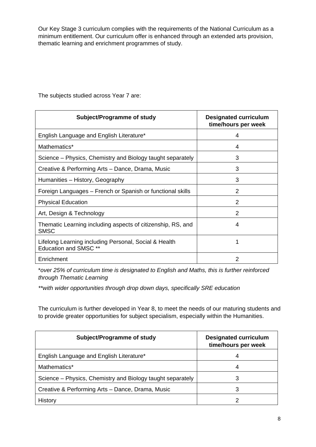Our Key Stage 3 curriculum complies with the requirements of the National Curriculum as a minimum entitlement. Our curriculum offer is enhanced through an extended arts provision, thematic learning and enrichment programmes of study.

| Subject/Programme of study                                                            | <b>Designated curriculum</b><br>time/hours per week |
|---------------------------------------------------------------------------------------|-----------------------------------------------------|
| English Language and English Literature*                                              | 4                                                   |
| Mathematics*                                                                          | 4                                                   |
| Science – Physics, Chemistry and Biology taught separately                            | 3                                                   |
| Creative & Performing Arts - Dance, Drama, Music                                      | 3                                                   |
| Humanities - History, Geography                                                       | 3                                                   |
| Foreign Languages – French or Spanish or functional skills                            | 2                                                   |
| <b>Physical Education</b>                                                             | 2                                                   |
| Art, Design & Technology                                                              | $\overline{2}$                                      |
| Thematic Learning including aspects of citizenship, RS, and<br><b>SMSC</b>            | 4                                                   |
| Lifelong Learning including Personal, Social & Health<br><b>Education and SMSC **</b> |                                                     |
| Enrichment                                                                            | 2                                                   |

The subjects studied across Year 7 are:

\**over 25% of curriculum time is designated to English and Maths, this is further reinforced through Thematic Learning* 

*\*\*with wider opportunities through drop down days, specifically SRE education* 

The curriculum is further developed in Year 8, to meet the needs of our maturing students and to provide greater opportunities for subject specialism, especially within the Humanities.

| Subject/Programme of study                                 | <b>Designated curriculum</b><br>time/hours per week |
|------------------------------------------------------------|-----------------------------------------------------|
| English Language and English Literature*                   | 4                                                   |
| Mathematics*                                               |                                                     |
| Science – Physics, Chemistry and Biology taught separately |                                                     |
| Creative & Performing Arts - Dance, Drama, Music           |                                                     |
| History                                                    |                                                     |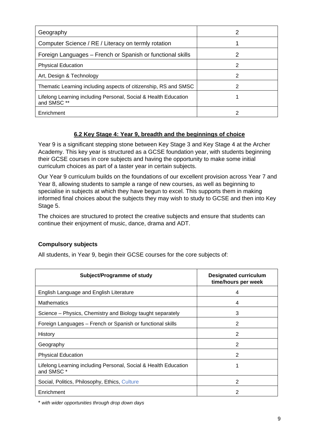| Geography                                                                     | 2 |
|-------------------------------------------------------------------------------|---|
| Computer Science / RE / Literacy on termly rotation                           |   |
| Foreign Languages – French or Spanish or functional skills                    | 2 |
| <b>Physical Education</b>                                                     | 2 |
| Art, Design & Technology                                                      | 2 |
| Thematic Learning including aspects of citizenship, RS and SMSC               | 2 |
| Lifelong Learning including Personal, Social & Health Education<br>and SMSC** |   |
| Enrichment                                                                    |   |

#### **6.2 Key Stage 4: Year 9, breadth and the beginnings of choice**

Year 9 is a significant stepping stone between Key Stage 3 and Key Stage 4 at the Archer Academy. This key year is structured as a GCSE foundation year, with students beginning their GCSE courses in core subjects and having the opportunity to make some initial curriculum choices as part of a taster year in certain subjects.

Our Year 9 curriculum builds on the foundations of our excellent provision across Year 7 and Year 8, allowing students to sample a range of new courses, as well as beginning to specialise in subjects at which they have begun to excel. This supports them in making informed final choices about the subjects they may wish to study to GCSE and then into Key Stage 5.

The choices are structured to protect the creative subjects and ensure that students can continue their enjoyment of music, dance, drama and ADT.

#### **Compulsory subjects**

All students, in Year 9, begin their GCSE courses for the core subjects of:

| Subject/Programme of study                                                               | <b>Designated curriculum</b><br>time/hours per week |
|------------------------------------------------------------------------------------------|-----------------------------------------------------|
| English Language and English Literature                                                  | 4                                                   |
| <b>Mathematics</b>                                                                       | 4                                                   |
| Science – Physics, Chemistry and Biology taught separately                               | 3                                                   |
| Foreign Languages – French or Spanish or functional skills                               | 2                                                   |
| History                                                                                  | 2                                                   |
| Geography                                                                                | 2                                                   |
| <b>Physical Education</b>                                                                | 2                                                   |
| Lifelong Learning including Personal, Social & Health Education<br>and SMSC <sup>*</sup> |                                                     |
| Social, Politics, Philosophy, Ethics, Culture                                            | 2                                                   |
| Enrichment                                                                               | 2                                                   |

\* *with wider opportunities through drop down days*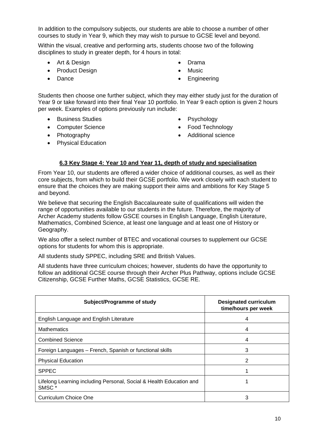In addition to the compulsory subjects, our students are able to choose a number of other courses to study in Year 9, which they may wish to pursue to GCSE level and beyond.

Within the visual, creative and performing arts, students choose two of the following disciplines to study in greater depth, for 4 hours in total:

- Art & Design
- Product Design
- Dance
- Drama
- Music
- **Engineering**

Students then choose one further subject, which they may either study just for the duration of Year 9 or take forward into their final Year 10 portfolio. In Year 9 each option is given 2 hours per week. Examples of options previously run include:

- Business Studies
- Computer Science
- Photography
- Physical Education
- **Psychology**
- Food Technology
- Additional science

#### **6.3 Key Stage 4: Year 10 and Year 11, depth of study and specialisation**

From Year 10, our students are offered a wider choice of additional courses, as well as their core subjects, from which to build their GCSE portfolio. We work closely with each student to ensure that the choices they are making support their aims and ambitions for Key Stage 5 and beyond.

We believe that securing the English Baccalaureate suite of qualifications will widen the range of opportunities available to our students in the future. Therefore, the majority of Archer Academy students follow GSCE courses in English Language, English Literature, Mathematics, Combined Science, at least one language and at least one of History or Geography.

We also offer a select number of BTEC and vocational courses to supplement our GCSE options for students for whom this is appropriate.

All students study SPPEC, including SRE and British Values.

All students have three curriculum choices; however, students do have the opportunity to follow an additional GCSE course through their Archer Plus Pathway, options include GCSE Citizenship, GCSE Further Maths, GCSE Statistics, GCSE RE.

| Subject/Programme of study                                                               | <b>Designated curriculum</b><br>time/hours per week |  |
|------------------------------------------------------------------------------------------|-----------------------------------------------------|--|
| English Language and English Literature                                                  | 4                                                   |  |
| <b>Mathematics</b>                                                                       | 4                                                   |  |
| <b>Combined Science</b>                                                                  | 4                                                   |  |
| Foreign Languages - French, Spanish or functional skills                                 | 3                                                   |  |
| <b>Physical Education</b>                                                                | 2                                                   |  |
| <b>SPPEC</b>                                                                             |                                                     |  |
| Lifelong Learning including Personal, Social & Health Education and<br>SMSC <sup>*</sup> |                                                     |  |
| <b>Curriculum Choice One</b>                                                             | 3                                                   |  |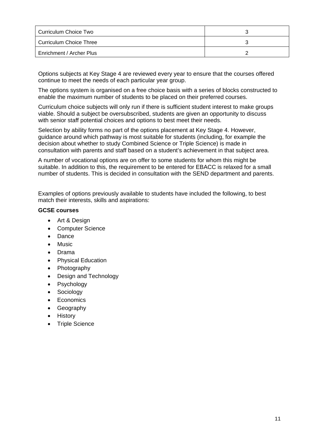| Curriculum Choice Two          |  |
|--------------------------------|--|
| <b>Curriculum Choice Three</b> |  |
| Enrichment / Archer Plus       |  |

Options subjects at Key Stage 4 are reviewed every year to ensure that the courses offered continue to meet the needs of each particular year group.

The options system is organised on a free choice basis with a series of blocks constructed to enable the maximum number of students to be placed on their preferred courses.

Curriculum choice subjects will only run if there is sufficient student interest to make groups viable. Should a subject be oversubscribed, students are given an opportunity to discuss with senior staff potential choices and options to best meet their needs.

Selection by ability forms no part of the options placement at Key Stage 4. However, guidance around which pathway is most suitable for students (including, for example the decision about whether to study Combined Science or Triple Science) is made in consultation with parents and staff based on a student's achievement in that subject area.

A number of vocational options are on offer to some students for whom this might be suitable. In addition to this, the requirement to be entered for EBACC is relaxed for a small number of students. This is decided in consultation with the SEND department and parents.

Examples of options previously available to students have included the following, to best match their interests, skills and aspirations:

#### **GCSE courses**

- Art & Design
- Computer Science
- Dance
- Music
- Drama
- Physical Education
- Photography
- Design and Technology
- Psychology
- **Sociology**
- Economics
- Geography
- History
- Triple Science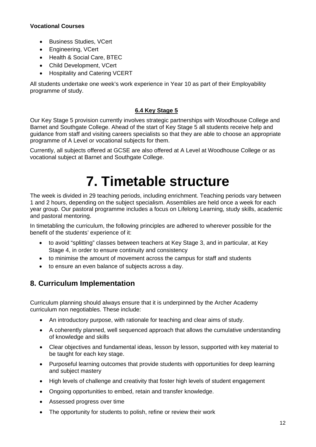#### **Vocational Courses**

- Business Studies, VCert
- Engineering, VCert
- Health & Social Care, BTEC
- Child Development, VCert
- Hospitality and Catering VCERT

All students undertake one week's work experience in Year 10 as part of their Employability programme of study.

#### **6.4 Key Stage 5**

Our Key Stage 5 provision currently involves strategic partnerships with Woodhouse College and Barnet and Southgate College. Ahead of the start of Key Stage 5 all students receive help and guidance from staff and visiting careers specialists so that they are able to choose an appropriate programme of A Level or vocational subjects for them.

Currently, all subjects offered at GCSE are also offered at A Level at Woodhouse College or as vocational subject at Barnet and Southgate College.

### **7. Timetable structure**

The week is divided in 29 teaching periods, including enrichment. Teaching periods vary between 1 and 2 hours, depending on the subject specialism. Assemblies are held once a week for each year group. Our pastoral programme includes a focus on Lifelong Learning, study skills, academic and pastoral mentoring.

In timetabling the curriculum, the following principles are adhered to wherever possible for the benefit of the students' experience of it:

- to avoid "splitting" classes between teachers at Key Stage 3, and in particular, at Key Stage 4, in order to ensure continuity and consistency
- to minimise the amount of movement across the campus for staff and students
- to ensure an even balance of subjects across a day.

#### **8. Curriculum Implementation**

Curriculum planning should always ensure that it is underpinned by the Archer Academy curriculum non negotiables. These include:

- An introductory purpose, with rationale for teaching and clear aims of study.
- A coherently planned, well sequenced approach that allows the cumulative understanding of knowledge and skills
- Clear objectives and fundamental ideas, lesson by lesson, supported with key material to be taught for each key stage.
- Purposeful learning outcomes that provide students with opportunities for deep learning and subject mastery
- High levels of challenge and creativity that foster high levels of student engagement
- Ongoing opportunities to embed, retain and transfer knowledge.
- Assessed progress over time
- The opportunity for students to polish, refine or review their work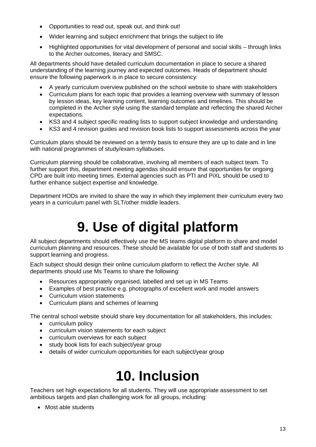- Opportunities to read out, speak out, and think out!
- Wider learning and subject enrichment that brings the subject to life
- Highlighted opportunities for vital development of personal and social skills through links to the Archer outcomes, literacy and SMSC.

All departments should have detailed curriculum documentation in place to secure a shared understanding of the learning journey and expected outcomes. Heads of department should ensure the following paperwork is in place to secure consistency:

- A yearly curriculum overview published on the school website to share with stakeholders
- Curriculum plans for each topic that provides a learning overview with summary of lesson by lesson ideas, key learning content, learning outcomes and timelines. This should be completed in the Archer style using the standard template and reflecting the shared Archer expectations.
- KS3 and 4 subject specific reading lists to support subject knowledge and understanding
- KS3 and 4 revision guides and revision book lists to support assessments across the year

Curriculum plans should be reviewed on a termly basis to ensure they are up to date and in line with national programmes of study/exam syllabuses.

Curriculum planning should be collaborative, involving all members of each subject team. To further support this, department meeting agendas should ensure that opportunities for ongoing CPD are built into meeting times. External agencies such as PTI and PiXL should be used to further enhance subject expertise and knowledge.

Department HODs are invited to share the way in which they implement their curriculum every two years in a curriculum panel with SLT/other middle leaders.

## **9. Use of digital platform**

All subject departments should effectively use the MS teams digital platform to share and model curriculum planning and resources. These should be available for use of both staff and students to support learning and progress.

Each subject should design their online curriculum platform to reflect the Archer style. All departments should use Ms Teams to share the following:

- Resources appropriately organised, labelled and set up in MS Teams
- Examples of best practice e.g. photographs of excellent work and model answers
- Curriculum vision statements
- Curriculum plans and schemes of learning

The central school website should share key documentation for all stakeholders, this includes:

- curriculum policy
- curriculum vision statements for each subject
- curriculum overviews for each subject
- study book lists for each subject/year group
- details of wider curriculum opportunities for each subject/year group

## **10. Inclusion**

Teachers set high expectations for all students. They will use appropriate assessment to set ambitious targets and plan challenging work for all groups, including:

• Most able students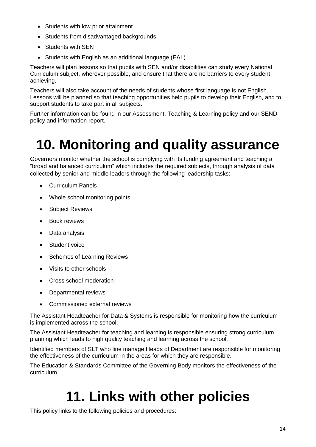- Students with low prior attainment
- Students from disadvantaged backgrounds
- Students with SEN
- Students with English as an additional language (EAL)

Teachers will plan lessons so that pupils with SEN and/or disabilities can study every National Curriculum subject, wherever possible, and ensure that there are no barriers to every student achieving.

Teachers will also take account of the needs of students whose first language is not English. Lessons will be planned so that teaching opportunities help pupils to develop their English, and to support students to take part in all subjects.

Further information can be found in our Assessment, Teaching & Learning policy and our SEND policy and information report.

## **10. Monitoring and quality assurance**

Governors monitor whether the school is complying with its funding agreement and teaching a "broad and balanced curriculum" which includes the required subjects, through analysis of data collected by senior and middle leaders through the following leadership tasks:

- Curriculum Panels
- Whole school monitoring points
- Subject Reviews
- Book reviews
- Data analysis
- Student voice
- Schemes of Learning Reviews
- Visits to other schools
- Cross school moderation
- Departmental reviews
- Commissioned external reviews

The Assistant Headteacher for Data & Systems is responsible for monitoring how the curriculum is implemented across the school.

The Assistant Headteacher for teaching and learning is responsible ensuring strong curriculum planning which leads to high quality teaching and learning across the school.

Identified members of SLT who line manage Heads of Department are responsible for monitoring the effectiveness of the curriculum in the areas for which they are responsible.

The Education & Standards Committee of the Governing Body monitors the effectiveness of the curriculum

## **11. Links with other policies**

This policy links to the following policies and procedures: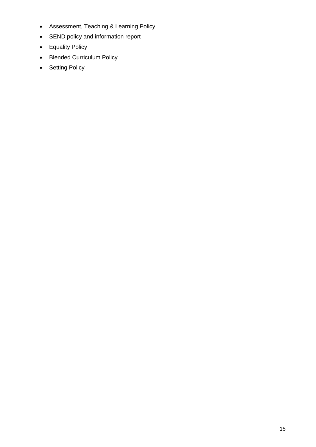- Assessment, Teaching & Learning Policy
- SEND policy and information report
- Equality Policy
- Blended Curriculum Policy
- Setting Policy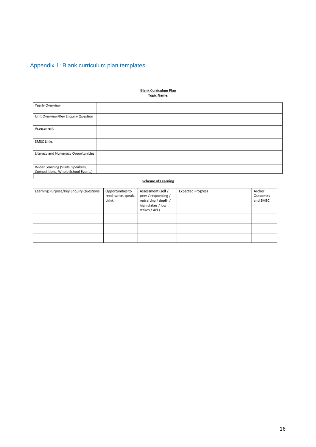### Appendix 1: Blank curriculum plan templates:

### <u>Blank Curriculum Plan</u><br>Topic Name:

| Yearly Overview                                                         |  |
|-------------------------------------------------------------------------|--|
| Unit Overview/Key Enquiry Question                                      |  |
| Assessment                                                              |  |
| SMSC Links                                                              |  |
| Literacy and Numeracy Opportunities                                     |  |
| Wider Learning (Visits, Speakers,<br>Competitions, Whole School Events) |  |
|                                                                         |  |

#### **Scheme of Learning**

| Learning Purpose/Key Enquiry Questions | Opportunities to<br>read, write, speak,<br>think | Assessment (self /<br>peer / responding /<br>redrafting / depth /<br>high stakes / low<br>stakes / AFL) | <b>Expected Progress</b> | Archer<br>Outcomes<br>and SMSC |
|----------------------------------------|--------------------------------------------------|---------------------------------------------------------------------------------------------------------|--------------------------|--------------------------------|
|                                        |                                                  |                                                                                                         |                          |                                |
|                                        |                                                  |                                                                                                         |                          |                                |
|                                        |                                                  |                                                                                                         |                          |                                |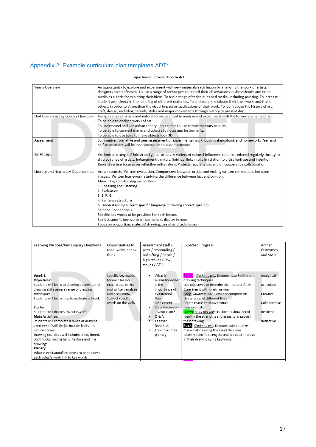#### Appendix 2: Example curriculum plan templates ADT:

#### Topic Name: Introduction to Art

| Yearly Overview                     | An opportunity to explore and experiment with new materials each lesson by analysing the work of artists,<br>designers and craftsmen. To use a range of techniques to record their observations in sketchbooks and other<br>media as a basis for exploring their ideas. To use a range of techniques and media, including painting. To increase<br>student proficiency in the handling of different materials. To analyse and evaluate their own work, and that of<br>others, in order to strengthen the visual impact or applications of their work. To learn about the history of art,<br>craft, design, including periods, styles and major movements through history to present day. |
|-------------------------------------|------------------------------------------------------------------------------------------------------------------------------------------------------------------------------------------------------------------------------------------------------------------------------------------------------------------------------------------------------------------------------------------------------------------------------------------------------------------------------------------------------------------------------------------------------------------------------------------------------------------------------------------------------------------------------------------|
| Unit Overview/Key Enquiry Question  | Using a range of artists and natural forms as a tool to analyse and experiment with the formal elements of art.<br>To be able to analyse works of art<br>To understand and use colour theory - to be able to use complementary colours.<br>To be able to connect marks and colours to notes and instruments.<br>To be able to use tone to make objects look 3D.                                                                                                                                                                                                                                                                                                                          |
| Assessment                          | Summative, formative and peer assessment of experimental work, both in sketchbook and homework. Peer and<br>Self-Assessment will be incorporated in to lesson activities.                                                                                                                                                                                                                                                                                                                                                                                                                                                                                                                |
| <b>SMSC Links</b>                   | We look at a range of British and global artists. A variety of cultural influences to be introduced regularly through a<br>diverse range of artists. Independent thinkers. Spiritual links made in relation to artist heritage and intention.<br>Reward system focuses on reflective self-analysis. Projects regularly depend on cooperative collaboration.                                                                                                                                                                                                                                                                                                                              |
| Literacy and Numeracy Opportunities | Artist research. Written evaluation. Comparisons between artists and making written connections between<br>images. Written homework, studying the difference between fact and opinion.<br>Measuring and studying proportions.<br>1. Speaking and listening<br>2. Evaluation<br>3. S. P. G<br>4. Sentence structure<br>5. Understanding subject specific language (including correct spelling)<br>Self and Peer analysis<br>Specific key words to be provided for each lesson.<br>Subject specific key words on permanent display in room<br>Focus on proportion, scale, 3D drawing, use of grid techniques                                                                               |

| Learning Purpose/Key Enquiry Questions                                                                                                                                                                                                                                                                                                                                                                                                                                                                                                                                                           | Opportunities to<br>read, write, speak,<br>think                                                                                                     | Assessment (self /<br>peer / responding /<br>redrafting / depth /<br>high stakes / low<br>stakes / AFL)                                                                                               | <b>Expected Progress</b>                                                                                                                                                                                                                                                                                                                                                                                                                                                                                                                                                                | Archer<br>Outcomes<br>and SMSC                                                   |
|--------------------------------------------------------------------------------------------------------------------------------------------------------------------------------------------------------------------------------------------------------------------------------------------------------------------------------------------------------------------------------------------------------------------------------------------------------------------------------------------------------------------------------------------------------------------------------------------------|------------------------------------------------------------------------------------------------------------------------------------------------------|-------------------------------------------------------------------------------------------------------------------------------------------------------------------------------------------------------|-----------------------------------------------------------------------------------------------------------------------------------------------------------------------------------------------------------------------------------------------------------------------------------------------------------------------------------------------------------------------------------------------------------------------------------------------------------------------------------------------------------------------------------------------------------------------------------------|----------------------------------------------------------------------------------|
| Week 1:<br><b>Objectives:</b><br>Students will learn to develop observational<br>drawing skills using a range of drawing<br>techniques<br>Students will learn how to evaluate artwork<br>Starter:<br>Students will discuss "What is Art?"<br><b>Main Activities:</b><br>Students will complete a range of drawing<br>exercises of still life (to include fruits and<br>natural forms)<br>Drawing exercises will include, blind, timed,<br>continuous, wrong hand, texture and line<br>drawings<br>Plenary:<br>What is evaluation? Students to peer assess<br>each other's work link to key words | Specific key words<br>for each lesson,<br>initial class, verbal<br>and written analysis<br>and discussion.<br>Subject specific<br>words on the wall. | What is<br>٠<br>evaluation/what<br>is the<br>importance of<br>evaluation?<br>Peer<br>assessment<br>Class discussion<br>$-$ what is art?<br>Q & A<br>Teacher<br>feedback<br>Top tip as mini<br>plenary | Purple: Students will: Demonstrate 3 different<br>drawing techniques<br>Use adjectives to describe their natural form<br>Experiment with mark making<br>Grey: Students will: Consider composition<br>Use a range of different lines<br>Create marks to show texture<br>Peer evaluate<br>Green: Students will: Use line to show detail<br>Identify the strengths and areas to improve in<br>their drawing<br>Black: Students will: Demonstrate creative<br>mark-making using thick and thin lines<br>Identify specific strengths and areas to improve<br>in their drawing using keywords | Analytical<br>Articulate<br>Creative<br>Collaborative<br>Resilient<br>Reflective |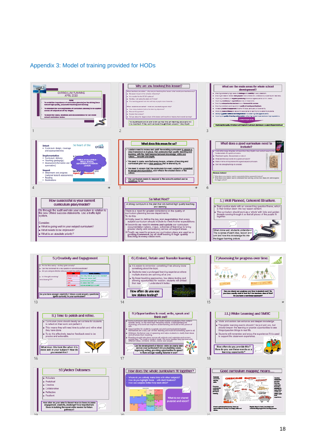#### Appendix 3: Model of training provided for HODs